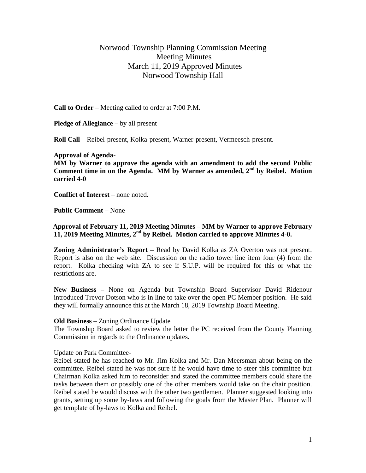# Norwood Township Planning Commission Meeting Meeting Minutes March 11, 2019 Approved Minutes Norwood Township Hall

**Call to Order** – Meeting called to order at 7:00 P.M.

**Pledge of Allegiance** – by all present

**Roll Call** – Reibel-present, Kolka-present, Warner-present, Vermeesch-present.

### **Approval of Agenda-**

**MM by Warner to approve the agenda with an amendment to add the second Public Comment time in on the Agenda. MM by Warner as amended, 2nd by Reibel. Motion carried 4-0**

**Conflict of Interest** – none noted.

**Public Comment –** None

### **Approval of February 11, 2019 Meeting Minutes – MM by Warner to approve February 11, 2019 Meeting Minutes, 2nd by Reibel. Motion carried to approve Minutes 4-0.**

**Zoning Administrator's Report –** Read by David Kolka as ZA Overton was not present. Report is also on the web site. Discussion on the radio tower line item four (4) from the report. Kolka checking with ZA to see if S.U.P. will be required for this or what the restrictions are.

**New Business –** None on Agenda but Township Board Supervisor David Ridenour introduced Trevor Dotson who is in line to take over the open PC Member position. He said they will formally announce this at the March 18, 2019 Township Board Meeting.

#### **Old Business –** Zoning Ordinance Update

The Township Board asked to review the letter the PC received from the County Planning Commission in regards to the Ordinance updates.

### Update on Park Committee-

Reibel stated he has reached to Mr. Jim Kolka and Mr. Dan Meersman about being on the committee. Reibel stated he was not sure if he would have time to steer this committee but Chairman Kolka asked him to reconsider and stated the committee members could share the tasks between them or possibly one of the other members would take on the chair position. Reibel stated he would discuss with the other two gentlemen. Planner suggested looking into grants, setting up some by-laws and following the goals from the Master Plan. Planner will get template of by-laws to Kolka and Reibel.